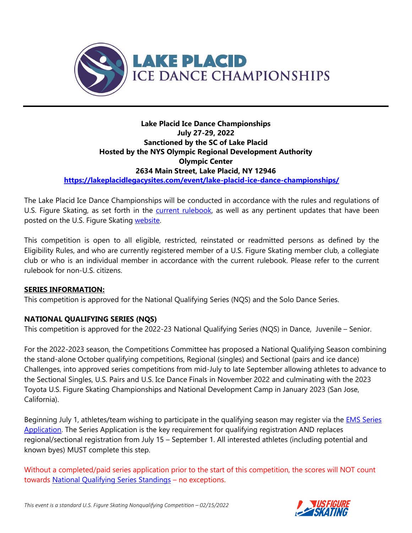

### **Lake Placid Ice Dance Championships July 27-29, 2022 Sanctioned by the SC of Lake Placid Hosted by the NYS Olympic Regional Development Authority Olympic Center 2634 Main Street, Lake Placid, NY 12946 [https://lakeplacidlegacysites.com/event/lake-placid-ice-dance-championships/](https://nam10.safelinks.protection.outlook.com/?url=https%3A%2F%2Flakeplacidlegacysites.com%2Fevent%2Flake-placid-ice-dance-championships%2F&data=04%7C01%7Cmarye%40orda.org%7C9ccc333f732944b2c31e08da084734c3%7C4b5b4fe743134775a7dac98b8418568f%7C1%7C0%7C637831399176059180%7CUnknown%7CTWFpbGZsb3d8eyJWIjoiMC4wLjAwMDAiLCJQIjoiV2luMzIiLCJBTiI6Ik1haWwiLCJXVCI6Mn0%3D%7C3000&sdata=bbTg4RGokvzF3z7d7zy7AGUdeoiNMbTC63kyd7Xe0IM%3D&reserved=0)**

The Lake Placid Ice Dance Championships will be conducted in accordance with the rules and regulations of U.S. Figure Skating, as set forth in the **current rulebook**, as well as any pertinent updates that have been posted on the U.S. Figure Skating [website.](https://www.usfigureskating.org/members-only/members/technical-notifications)

This competition is open to all eligible, restricted, reinstated or readmitted persons as defined by the Eligibility Rules, and who are currently registered member of a U.S. Figure Skating member club, a collegiate club or who is an individual member in accordance with the current rulebook. Please refer to the current rulebook for non-U.S. citizens.

## **SERIES INFORMATION:**

This competition is approved for the National Qualifying Series (NQS) and the Solo Dance Series.

#### **NATIONAL QUALIFYING SERIES (NQS)**

This competition is approved for the 2022-23 National Qualifying Series (NQS) in Dance, Juvenile – Senior.

For the 2022-2023 season, the Competitions Committee has proposed a National Qualifying Season combining the stand-alone October qualifying competitions, Regional (singles) and Sectional (pairs and ice dance) Challenges, into approved series competitions from mid-July to late September allowing athletes to advance to the Sectional Singles, U.S. Pairs and U.S. Ice Dance Finals in November 2022 and culminating with the 2023 Toyota U.S. Figure Skating Championships and National Development Camp in January 2023 (San Jose, California).

Beginning July 1, athletes/team wishing to participate in the qualifying season may register via the [EMS Series](https://m.usfigureskating.org/series/registration/overview/11?id=11)  [Application.](https://m.usfigureskating.org/series/registration/overview/11?id=11) The Series Application is the key requirement for qualifying registration AND replaces regional/sectional registration from July 15 – September 1. All interested athletes (including potential and known byes) MUST complete this step.

Without a completed/paid series application prior to the start of this competition, the scores will NOT count towards [National Qualifying Series Standings](https://m.usfigureskating.org/series/standings/11?id=11) – no exceptions.



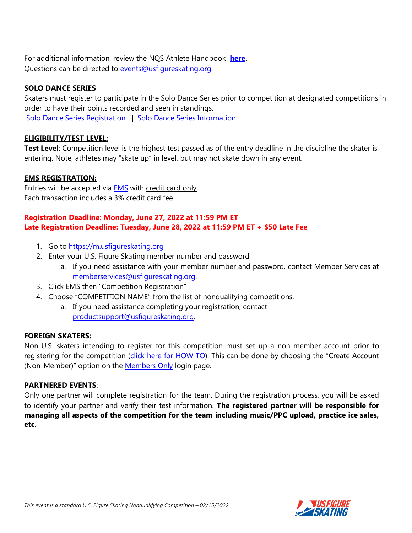For additional information, review the NQS Athlete Handbook **[here.](https://www.usfigureskating.org/sites/default/files/media-files/NQS_AthleteHandbook.pdf)**  Questions can be directed to [events@usfigureskating.org.](mailto:events@usfigureskating.org)

## **SOLO DANCE SERIES**

Skaters must register to participate in the Solo Dance Series prior to competition at designated competitions in order to have their points recorded and seen in standings. [Solo Dance Series Registration](https://m.usfigureskating.org/series/registration/overview/10?id=10) | [Solo Dance Series Information](https://www.usfigureskating.org/members-only/skating-opportunities/solo-dance/series-info)

# **ELIGIBILITY/TEST LEVEL**:

**Test Level**: Competition level is the highest test passed as of the entry deadline in the discipline the skater is entering. Note, athletes may "skate up" in level, but may not skate down in any event.

# **EMS REGISTRATION:**

Entries will be accepted via **EMS** with credit card only. Each transaction includes a 3% credit card fee.

# **Registration Deadline: Monday, June 27, 2022 at 11:59 PM ET Late Registration Deadline: Tuesday, June 28, 2022 at 11:59 PM ET + \$50 Late Fee**

- 1. Go to [https://m.usfigureskating.org](https://m.usfigureskating.org/)
- 2. Enter your U.S. Figure Skating member number and password
	- a. If you need assistance with your member number and password, contact Member Services at [memberservices@usfigureskating.org.](mailto:memberservices@usfigureskating.org)
- 3. Click EMS then "Competition Registration"
- 4. Choose "COMPETITION NAME" from the list of nonqualifying competitions.
	- a. If you need assistance completing your registration, contact [productsupport@usfigureskating.org.](mailto:productsupport@usfigureskating.org)

## **FOREIGN SKATERS:**

Non-U.S. skaters intending to register for this competition must set up a non-member account prior to registering for the competition [\(click here for HOW TO\)](https://public.3.basecamp.com/p/GwrcZ9DuXrqkxKykKbYQxJGn). This can be done by choosing the "Create Account (Non-Member)" option on the [Members Only](https://m.usfigureskating.org/account/login/) login page.

## **PARTNERED EVENTS**:

Only one partner will complete registration for the team. During the registration process, you will be asked to identify your partner and verify their test information. **The registered partner will be responsible for managing all aspects of the competition for the team including music/PPC upload, practice ice sales, etc.**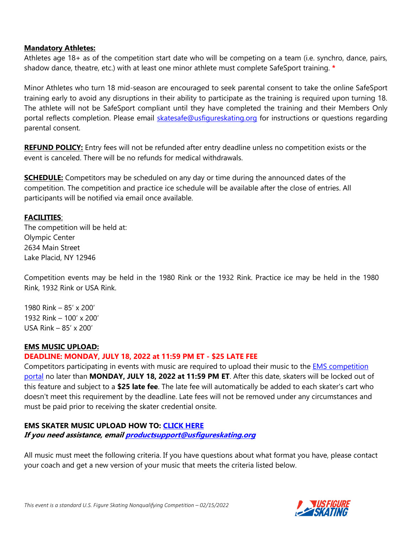#### **Mandatory Athletes:**

Athletes age 18+ as of the competition start date who will be competing on a team (i.e. synchro, dance, pairs, shadow dance, theatre, etc.) with at least one minor athlete must complete SafeSport training. **\***

Minor Athletes who turn 18 mid-season are encouraged to seek parental consent to take the online SafeSport training early to avoid any disruptions in their ability to participate as the training is required upon turning 18. The athlete will not be SafeSport compliant until they have completed the training and their Members Only portal reflects completion. Please email [skatesafe@usfigureskating.org](mailto:skatesafe@usfigureskating.org) for instructions or questions regarding parental consent.

**REFUND POLICY:** Entry fees will not be refunded after entry deadline unless no competition exists or the event is canceled. There will be no refunds for medical withdrawals.

**SCHEDULE:** Competitors may be scheduled on any day or time during the announced dates of the competition. The competition and practice ice schedule will be available after the close of entries. All participants will be notified via email once available.

#### **FACILITIES**:

The competition will be held at: Olympic Center 2634 Main Street Lake Placid, NY 12946

Competition events may be held in the 1980 Rink or the 1932 Rink. Practice ice may be held in the 1980 Rink, 1932 Rink or USA Rink.

1980 Rink – 85' x 200' 1932 Rink – 100' x 200' USA Rink – 85' x 200'

#### **EMS MUSIC UPLOAD:**

#### **DEADLINE: MONDAY, JULY 18, 2022 at 11:59 PM ET - \$25 LATE FEE**

Competitors participating in events with music are required to upload their music to the **EMS** competition [portal](https://m.usfigureskating.org/competition/30600) no later than **MONDAY, JULY 18, 2022 at 11:59 PM ET**. After this date, skaters will be locked out of this feature and subject to a **\$25 late fee**. The late fee will automatically be added to each skater's cart who doesn't meet this requirement by the deadline. Late fees will not be removed under any circumstances and must be paid prior to receiving the skater credential onsite.

# **EMS SKATER MUSIC UPLOAD HOW TO: [CLICK HERE](https://public.3.basecamp.com/p/ycj6D89r1GruJVv8oTSWXUqW)**

**If you need assistance, emai[l productsupport@usfigureskating.org](mailto:productsupport@usfigureskating.org)**

All music must meet the following criteria. If you have questions about what format you have, please contact your coach and get a new version of your music that meets the criteria listed below.

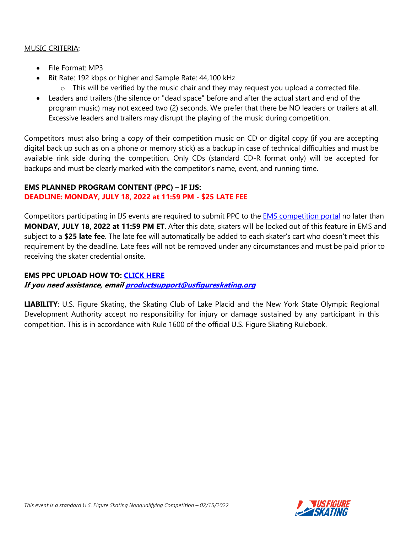#### MUSIC CRITERIA:

- File Format: MP3
- Bit Rate: 192 kbps or higher and Sample Rate: 44,100 kHz
	- o This will be verified by the music chair and they may request you upload a corrected file.
- Leaders and trailers (the silence or "dead space" before and after the actual start and end of the program music) may not exceed two (2) seconds. We prefer that there be NO leaders or trailers at all. Excessive leaders and trailers may disrupt the playing of the music during competition.

Competitors must also bring a copy of their competition music on CD or digital copy (if you are accepting digital back up such as on a phone or memory stick) as a backup in case of technical difficulties and must be available rink side during the competition. Only CDs (standard CD-R format only) will be accepted for backups and must be clearly marked with the competitor's name, event, and running time.

#### **EMS PLANNED PROGRAM CONTENT (PPC) – IF IJS: DEADLINE: MONDAY, JULY 18, 2022 at 11:59 PM - \$25 LATE FEE**

Competitors participating in IJS events are required to submit PPC to the **EMS** [competition portal](https://m.usfigureskating.org/competition/30600) no later than **MONDAY, JULY 18, 2022 at 11:59 PM ET**. After this date, skaters will be locked out of this feature in EMS and subject to a **\$25 late fee**. The late fee will automatically be added to each skater's cart who doesn't meet this requirement by the deadline. Late fees will not be removed under any circumstances and must be paid prior to receiving the skater credential onsite.

# **EMS PPC UPLOAD HOW TO: [CLICK HERE](https://public.3.basecamp.com/p/bJNALQ6nPYrJUH2YKAjQ2tMB)**

# **If you need assistance, emai[l productsupport@usfigureskating.org](mailto:productsupport@usfigureskating.org)**

**LIABILITY:** U.S. Figure Skating, the Skating Club of Lake Placid and the New York State Olympic Regional Development Authority accept no responsibility for injury or damage sustained by any participant in this competition. This is in accordance with Rule 1600 of the official U.S. Figure Skating Rulebook.

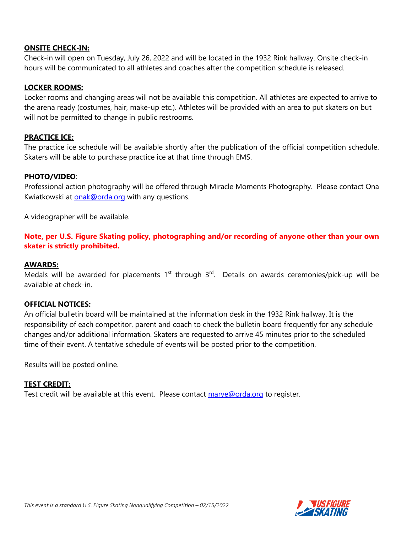#### **ONSITE CHECK-IN:**

Check-in will open on Tuesday, July 26, 2022 and will be located in the 1932 Rink hallway. Onsite check-in hours will be communicated to all athletes and coaches after the competition schedule is released.

#### **LOCKER ROOMS:**

Locker rooms and changing areas will not be available this competition. All athletes are expected to arrive to the arena ready (costumes, hair, make-up etc.). Athletes will be provided with an area to put skaters on but will not be permitted to change in public restrooms.

#### **PRACTICE ICE:**

The practice ice schedule will be available shortly after the publication of the official competition schedule. Skaters will be able to purchase practice ice at that time through EMS.

#### **PHOTO/VIDEO**:

Professional action photography will be offered through Miracle Moments Photography. Please contact Ona Kwiatkowski at [onak@orda.org](mailto:onak@orda.org) with any questions.

A videographer will be available.

**Note, [per U.S. Figure Skating policy,](https://public.3.basecamp.com/p/EsWCNMRdrZ3qJs6LsB9RM9Vf) photographing and/or recording of anyone other than your own skater is strictly prohibited.** 

#### **AWARDS:**

Medals will be awarded for placements  $1^{st}$  through  $3^{rd}$ . Details on awards ceremonies/pick-up will be available at check-in.

#### **OFFICIAL NOTICES:**

An official bulletin board will be maintained at the information desk in the 1932 Rink hallway. It is the responsibility of each competitor, parent and coach to check the bulletin board frequently for any schedule changes and/or additional information. Skaters are requested to arrive 45 minutes prior to the scheduled time of their event. A tentative schedule of events will be posted prior to the competition.

Results will be posted online.

#### **TEST CREDIT:**

Test credit will be available at this event. Please contact [marye@orda.org](mailto:marye@orda.org) to register.

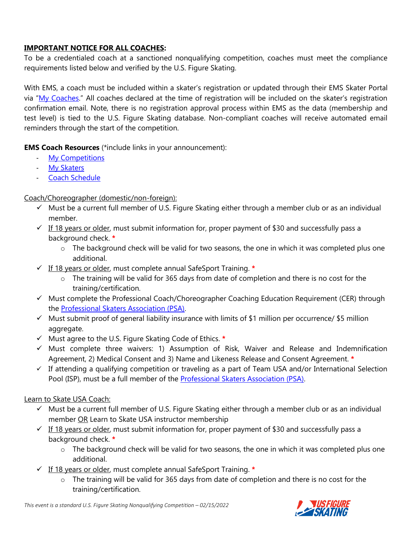# **IMPORTANT NOTICE FOR ALL COACHES:**

To be a credentialed coach at a sanctioned nonqualifying competition, coaches must meet the compliance requirements listed below and verified by the U.S. Figure Skating.

With EMS, a coach must be included within a skater's registration or updated through their EMS Skater Portal via "[My Coaches](https://public.3.basecamp.com/p/3uMsvDUa7FL8Y2EDqZyD2UAZ)." All coaches declared at the time of registration will be included on the skater's registration confirmation email. Note, there is no registration approval process within EMS as the data (membership and test level) is tied to the U.S. Figure Skating database. Non-compliant coaches will receive automated email reminders through the start of the competition.

**EMS Coach Resources** (\*include links in your announcement):

- [My Competitions](https://public.3.basecamp.com/p/rXE1uyVQqyg3xA7hzXAjpudM)
- [My Skaters](https://public.3.basecamp.com/p/w79NH9tSWWwJ17EjeUhdpy1V)
- [Coach Schedule](https://public.3.basecamp.com/p/3UXnPmqVfktsb1qEwg6AHR2h)

# Coach/Choreographer (domestic/non-foreign):

- $\checkmark$  Must be a current full member of U.S. Figure Skating either through a member club or as an individual member.
- $\checkmark$  If 18 years or older, must submit information for, proper payment of \$30 and successfully pass a background check. **\***
	- $\circ$  The background check will be valid for two seasons, the one in which it was completed plus one additional.
- ✓ If 18 years or older, must complete annual SafeSport Training. **\***
	- o The training will be valid for 365 days from date of completion and there is no cost for the training/certification.
- ✓ Must complete the Professional Coach/Choreographer Coaching Education Requirement (CER) through the [Professional Skaters Association \(PSA\).](https://skatepsa.com/compliance)
- $\checkmark$  Must submit proof of general liability insurance with limits of \$1 million per occurrence/ \$5 million aggregate.
- ✓ Must agree to the U.S. Figure Skating Code of Ethics. **\***
- ✓ Must complete three waivers: 1) Assumption of Risk, Waiver and Release and Indemnification Agreement, 2) Medical Consent and 3) Name and Likeness Release and Consent Agreement. **\***
- $\checkmark$  If attending a qualifying competition or traveling as a part of Team USA and/or International Selection Pool (ISP), must be a full member of the [Professional Skaters Association \(PSA\).](https://skatepsa.com/membership)

## Learn to Skate USA Coach:

- $\checkmark$  Must be a current full member of U.S. Figure Skating either through a member club or as an individual member OR Learn to Skate USA instructor membership
- $\checkmark$  If 18 years or older, must submit information for, proper payment of \$30 and successfully pass a background check. **\***
	- $\circ$  The background check will be valid for two seasons, the one in which it was completed plus one additional.
- ✓ If 18 years or older, must complete annual SafeSport Training. **\***
	- $\circ$  The training will be valid for 365 days from date of completion and there is no cost for the training/certification.

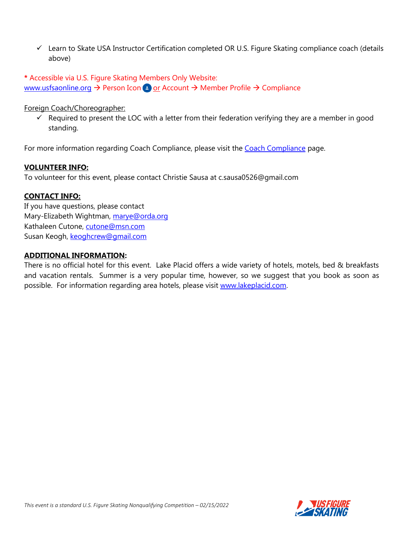- ✓ Learn to Skate USA Instructor Certification completed OR U.S. Figure Skating compliance coach (details above)
- **\*** Accessible via U.S. Figure Skating Members Only Website: [www.usfsaonline.org](http://www.usfsaonline.org/)  $\rightarrow$  Person Icon  $\rightarrow$  or Account  $\rightarrow$  Member Profile  $\rightarrow$  Compliance

Foreign Coach/Choreographer:

 $\checkmark$  Required to present the LOC with a letter from their federation verifying they are a member in good standing.

For more information regarding [Coach Compliance](https://www.usfigureskating.org/support/coach/coach-compliance), please visit the Coach Compliance page.

#### **VOLUNTEER INFO:**

To volunteer for this event, please contact Christie Sausa at c.sausa0526@gmail.com

## **CONTACT INFO:**

If you have questions, please contact Mary-Elizabeth Wightman, [marye@orda.org](mailto:marye@orda.org) Kathaleen Cutone, [cutone@msn.com](mailto:cutone@msn.com) Susan Keogh, [keoghcrew@gmail.com](mailto:keoghcrew@gmail.com)

### **ADDITIONAL INFORMATION:**

There is no official hotel for this event. Lake Placid offers a wide variety of hotels, motels, bed & breakfasts and vacation rentals. Summer is a very popular time, however, so we suggest that you book as soon as possible. For information regarding area hotels, please visit [www.lakeplacid.com.](http://www.lakeplacid.com/)